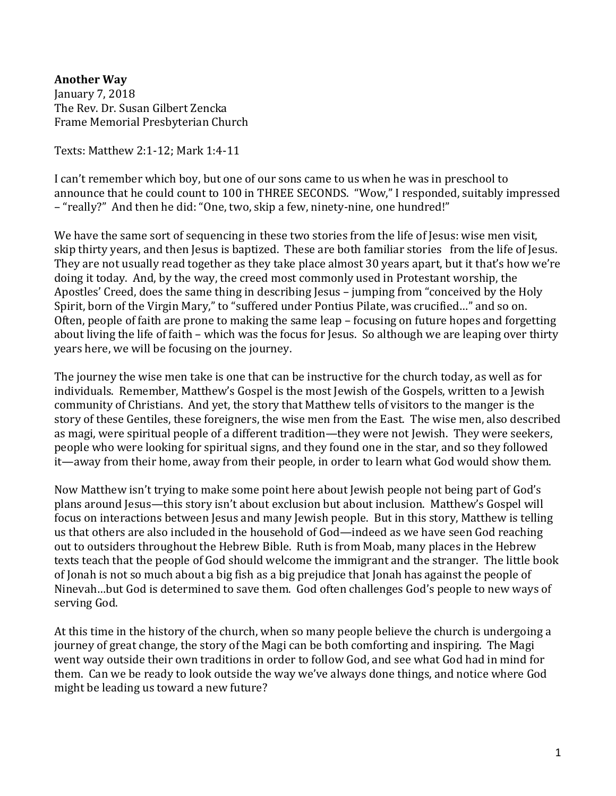**Another Way** January 7, 2018 The Rev. Dr. Susan Gilbert Zencka Frame Memorial Presbyterian Church

Texts: Matthew 2:1-12; Mark 1:4-11

I can't remember which boy, but one of our sons came to us when he was in preschool to announce that he could count to 100 in THREE SECONDS. "Wow," I responded, suitably impressed – "really?" And then he did: "One, two, skip a few, ninety-nine, one hundred!"

We have the same sort of sequencing in these two stories from the life of Jesus: wise men visit, skip thirty years, and then Jesus is baptized. These are both familiar stories from the life of Jesus. They are not usually read together as they take place almost 30 years apart, but it that's how we're doing it today. And, by the way, the creed most commonly used in Protestant worship, the Apostles' Creed, does the same thing in describing Jesus – jumping from "conceived by the Holy Spirit, born of the Virgin Mary," to "suffered under Pontius Pilate, was crucified…" and so on. Often, people of faith are prone to making the same leap – focusing on future hopes and forgetting about living the life of faith – which was the focus for Jesus. So although we are leaping over thirty years here, we will be focusing on the journey.

The journey the wise men take is one that can be instructive for the church today, as well as for individuals. Remember, Matthew's Gospel is the most Jewish of the Gospels, written to a Jewish community of Christians. And yet, the story that Matthew tells of visitors to the manger is the story of these Gentiles, these foreigners, the wise men from the East. The wise men, also described as magi, were spiritual people of a different tradition—they were not Jewish. They were seekers, people who were looking for spiritual signs, and they found one in the star, and so they followed it—away from their home, away from their people, in order to learn what God would show them.

Now Matthew isn't trying to make some point here about Jewish people not being part of God's plans around Jesus—this story isn't about exclusion but about inclusion. Matthew's Gospel will focus on interactions between Jesus and many Jewish people. But in this story, Matthew is telling us that others are also included in the household of God—indeed as we have seen God reaching out to outsiders throughout the Hebrew Bible. Ruth is from Moab, many places in the Hebrew texts teach that the people of God should welcome the immigrant and the stranger. The little book of Jonah is not so much about a big fish as a big prejudice that Jonah has against the people of Ninevah…but God is determined to save them. God often challenges God's people to new ways of serving God.

At this time in the history of the church, when so many people believe the church is undergoing a journey of great change, the story of the Magi can be both comforting and inspiring. The Magi went way outside their own traditions in order to follow God, and see what God had in mind for them. Can we be ready to look outside the way we've always done things, and notice where God might be leading us toward a new future?